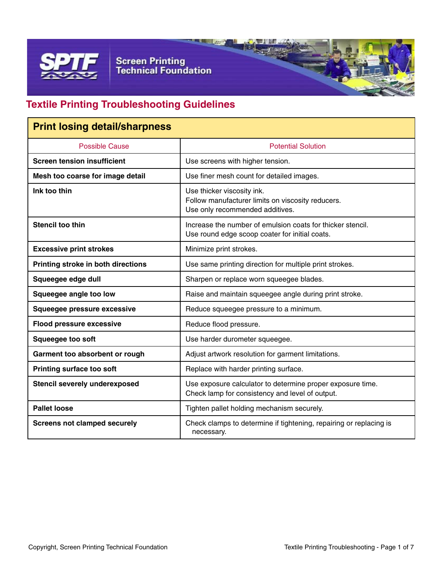

**Screen Printing<br>Technical Foundation** 

### **Textile Printing Troubleshooting Guidelines**

| <b>Print losing detail/sharpness</b> |                                                                                                                    |
|--------------------------------------|--------------------------------------------------------------------------------------------------------------------|
| <b>Possible Cause</b>                | <b>Potential Solution</b>                                                                                          |
| <b>Screen tension insufficient</b>   | Use screens with higher tension.                                                                                   |
| Mesh too coarse for image detail     | Use finer mesh count for detailed images.                                                                          |
| Ink too thin                         | Use thicker viscosity ink.<br>Follow manufacturer limits on viscosity reducers.<br>Use only recommended additives. |
| <b>Stencil too thin</b>              | Increase the number of emulsion coats for thicker stencil.<br>Use round edge scoop coater for initial coats.       |
| <b>Excessive print strokes</b>       | Minimize print strokes.                                                                                            |
| Printing stroke in both directions   | Use same printing direction for multiple print strokes.                                                            |
| Squeegee edge dull                   | Sharpen or replace worn squeegee blades.                                                                           |
| Squeegee angle too low               | Raise and maintain squeegee angle during print stroke.                                                             |
| Squeegee pressure excessive          | Reduce squeegee pressure to a minimum.                                                                             |
| <b>Flood pressure excessive</b>      | Reduce flood pressure.                                                                                             |
| Squeegee too soft                    | Use harder durometer squeegee.                                                                                     |
| Garment too absorbent or rough       | Adjust artwork resolution for garment limitations.                                                                 |
| <b>Printing surface too soft</b>     | Replace with harder printing surface.                                                                              |
| <b>Stencil severely underexposed</b> | Use exposure calculator to determine proper exposure time.<br>Check lamp for consistency and level of output.      |
| <b>Pallet loose</b>                  | Tighten pallet holding mechanism securely.                                                                         |
| <b>Screens not clamped securely</b>  | Check clamps to determine if tightening, repairing or replacing is<br>necessary.                                   |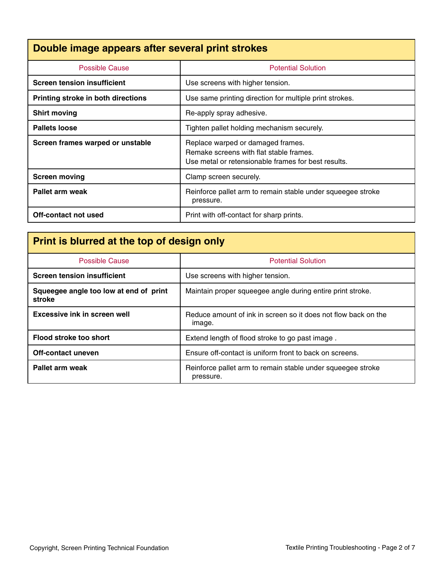### **Double image appears after several print strokes**

| <b>Possible Cause</b>                     | <b>Potential Solution</b>                                                                                                           |
|-------------------------------------------|-------------------------------------------------------------------------------------------------------------------------------------|
| <b>Screen tension insufficient</b>        | Use screens with higher tension.                                                                                                    |
| <b>Printing stroke in both directions</b> | Use same printing direction for multiple print strokes.                                                                             |
| <b>Shirt moving</b>                       | Re-apply spray adhesive.                                                                                                            |
| <b>Pallets loose</b>                      | Tighten pallet holding mechanism securely.                                                                                          |
| Screen frames warped or unstable          | Replace warped or damaged frames.<br>Remake screens with flat stable frames.<br>Use metal or retensionable frames for best results. |
| <b>Screen moving</b>                      | Clamp screen securely.                                                                                                              |
| Pallet arm weak                           | Reinforce pallet arm to remain stable under squeegee stroke<br>pressure.                                                            |
| Off-contact not used                      | Print with off-contact for sharp prints.                                                                                            |

## **Print is blurred at the top of design only**

| <b>Possible Cause</b>                            | <b>Potential Solution</b>                                                |
|--------------------------------------------------|--------------------------------------------------------------------------|
| <b>Screen tension insufficient</b>               | Use screens with higher tension.                                         |
| Squeegee angle too low at end of print<br>stroke | Maintain proper squeegee angle during entire print stroke.               |
| Excessive ink in screen well                     | Reduce amount of ink in screen so it does not flow back on the<br>image. |
| Flood stroke too short                           | Extend length of flood stroke to go past image.                          |
| Off-contact uneven                               | Ensure off-contact is uniform front to back on screens.                  |
| Pallet arm weak                                  | Reinforce pallet arm to remain stable under squeegee stroke<br>pressure. |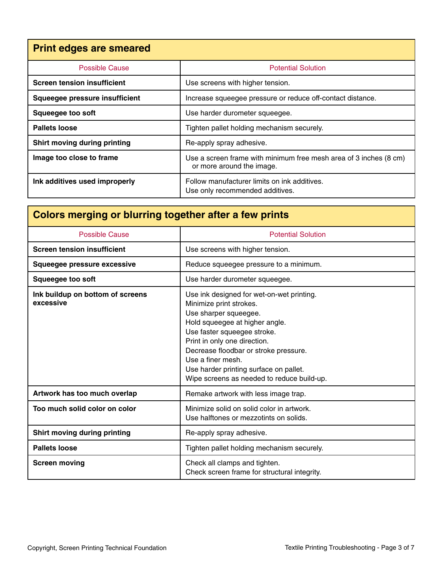| <b>Print edges are smeared</b>      |                                                                                                |
|-------------------------------------|------------------------------------------------------------------------------------------------|
| <b>Possible Cause</b>               | <b>Potential Solution</b>                                                                      |
| <b>Screen tension insufficient</b>  | Use screens with higher tension.                                                               |
| Squeegee pressure insufficient      | Increase squeegee pressure or reduce off-contact distance.                                     |
| <b>Squeegee too soft</b>            | Use harder durometer squeegee.                                                                 |
| <b>Pallets loose</b>                | Tighten pallet holding mechanism securely.                                                     |
| <b>Shirt moving during printing</b> | Re-apply spray adhesive.                                                                       |
| Image too close to frame            | Use a screen frame with minimum free mesh area of 3 inches (8 cm)<br>or more around the image. |
| Ink additives used improperly       | Follow manufacturer limits on ink additives.<br>Use only recommended additives.                |

# **Colors merging or blurring together after a few prints**

| <b>Possible Cause</b>                         | <b>Potential Solution</b>                                                                                                                                                                                                                                                                                                                            |
|-----------------------------------------------|------------------------------------------------------------------------------------------------------------------------------------------------------------------------------------------------------------------------------------------------------------------------------------------------------------------------------------------------------|
| <b>Screen tension insufficient</b>            | Use screens with higher tension.                                                                                                                                                                                                                                                                                                                     |
| Squeegee pressure excessive                   | Reduce squeegee pressure to a minimum.                                                                                                                                                                                                                                                                                                               |
| <b>Squeegee too soft</b>                      | Use harder durometer squeegee.                                                                                                                                                                                                                                                                                                                       |
| Ink buildup on bottom of screens<br>excessive | Use ink designed for wet-on-wet printing.<br>Minimize print strokes.<br>Use sharper squeegee.<br>Hold squeegee at higher angle.<br>Use faster squeegee stroke.<br>Print in only one direction.<br>Decrease floodbar or stroke pressure.<br>Use a finer mesh.<br>Use harder printing surface on pallet.<br>Wipe screens as needed to reduce build-up. |
| Artwork has too much overlap                  | Remake artwork with less image trap.                                                                                                                                                                                                                                                                                                                 |
| Too much solid color on color                 | Minimize solid on solid color in artwork.<br>Use halftones or mezzotints on solids.                                                                                                                                                                                                                                                                  |
| <b>Shirt moving during printing</b>           | Re-apply spray adhesive.                                                                                                                                                                                                                                                                                                                             |
| <b>Pallets loose</b>                          | Tighten pallet holding mechanism securely.                                                                                                                                                                                                                                                                                                           |
| <b>Screen moving</b>                          | Check all clamps and tighten.<br>Check screen frame for structural integrity.                                                                                                                                                                                                                                                                        |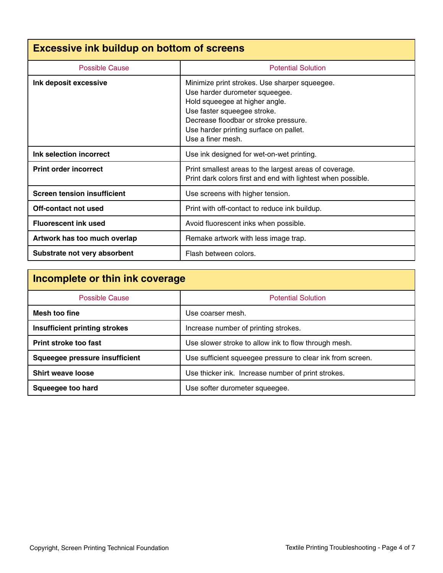| <b>Excessive ink buildup on bottom of screens</b> |                                                                                                                                                                                                                                                          |
|---------------------------------------------------|----------------------------------------------------------------------------------------------------------------------------------------------------------------------------------------------------------------------------------------------------------|
| Possible Cause                                    | <b>Potential Solution</b>                                                                                                                                                                                                                                |
| Ink deposit excessive                             | Minimize print strokes. Use sharper squeegee.<br>Use harder durometer squeegee.<br>Hold squeegee at higher angle.<br>Use faster squeegee stroke.<br>Decrease floodbar or stroke pressure.<br>Use harder printing surface on pallet.<br>Use a finer mesh. |
| Ink selection incorrect                           | Use ink designed for wet-on-wet printing.                                                                                                                                                                                                                |
| <b>Print order incorrect</b>                      | Print smallest areas to the largest areas of coverage.<br>Print dark colors first and end with lightest when possible.                                                                                                                                   |
| <b>Screen tension insufficient</b>                | Use screens with higher tension.                                                                                                                                                                                                                         |
| Off-contact not used                              | Print with off-contact to reduce ink buildup.                                                                                                                                                                                                            |
| <b>Fluorescent ink used</b>                       | Avoid fluorescent inks when possible.                                                                                                                                                                                                                    |
| Artwork has too much overlap                      | Remake artwork with less image trap.                                                                                                                                                                                                                     |
| Substrate not very absorbent                      | Flash between colors.                                                                                                                                                                                                                                    |

| Incomplete or thin ink coverage      |                                                            |
|--------------------------------------|------------------------------------------------------------|
| <b>Possible Cause</b>                | <b>Potential Solution</b>                                  |
| Mesh too fine                        | Use coarser mesh.                                          |
| <b>Insufficient printing strokes</b> | Increase number of printing strokes.                       |
| Print stroke too fast                | Use slower stroke to allow ink to flow through mesh.       |
| Squeegee pressure insufficient       | Use sufficient squeegee pressure to clear ink from screen. |
| <b>Shirt weave loose</b>             | Use thicker ink. Increase number of print strokes.         |
| Squeegee too hard                    | Use softer durometer squeegee.                             |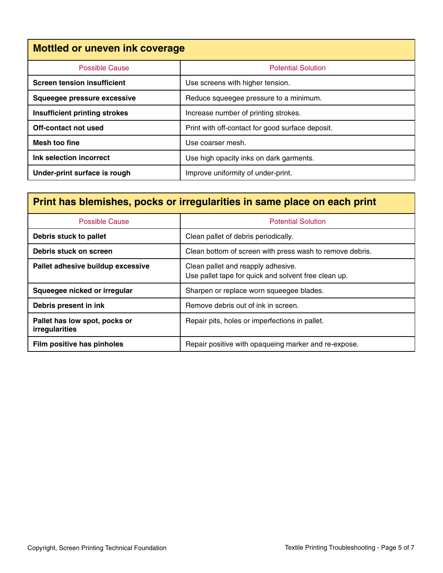| <b>Mottled or uneven ink coverage</b> |                                                  |
|---------------------------------------|--------------------------------------------------|
| Possible Cause                        | <b>Potential Solution</b>                        |
| <b>Screen tension insufficient</b>    | Use screens with higher tension.                 |
| Squeegee pressure excessive           | Reduce squeegee pressure to a minimum.           |
| <b>Insufficient printing strokes</b>  | Increase number of printing strokes.             |
| Off-contact not used                  | Print with off-contact for good surface deposit. |
| Mesh too fine                         | Use coarser mesh.                                |
| Ink selection incorrect               | Use high opacity inks on dark garments.          |
| Under-print surface is rough          | Improve uniformity of under-print.               |

| Print has blemishes, pocks or irregularities in same place on each print |                                                                                            |
|--------------------------------------------------------------------------|--------------------------------------------------------------------------------------------|
| <b>Possible Cause</b>                                                    | <b>Potential Solution</b>                                                                  |
| Debris stuck to pallet                                                   | Clean pallet of debris periodically.                                                       |
| Debris stuck on screen                                                   | Clean bottom of screen with press wash to remove debris.                                   |
| Pallet adhesive buildup excessive                                        | Clean pallet and reapply adhesive.<br>Use pallet tape for quick and solvent free clean up. |
| Squeegee nicked or irregular                                             | Sharpen or replace worn squeegee blades.                                                   |
| Debris present in ink                                                    | Remove debris out of ink in screen.                                                        |
| Pallet has low spot, pocks or<br>irregularities                          | Repair pits, holes or imperfections in pallet.                                             |
| Film positive has pinholes                                               | Repair positive with opaqueing marker and re-expose.                                       |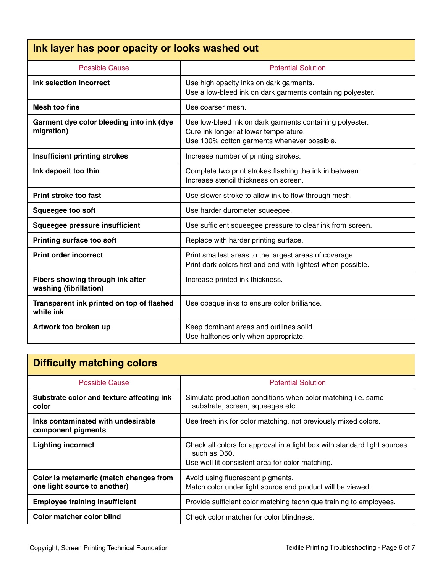| Ink layer has poor opacity or looks washed out             |                                                                                                                                                  |
|------------------------------------------------------------|--------------------------------------------------------------------------------------------------------------------------------------------------|
| <b>Possible Cause</b>                                      | <b>Potential Solution</b>                                                                                                                        |
| Ink selection incorrect                                    | Use high opacity inks on dark garments.<br>Use a low-bleed ink on dark garments containing polyester.                                            |
| Mesh too fine                                              | Use coarser mesh.                                                                                                                                |
| Garment dye color bleeding into ink (dye<br>migration)     | Use low-bleed ink on dark garments containing polyester.<br>Cure ink longer at lower temperature.<br>Use 100% cotton garments whenever possible. |
| <b>Insufficient printing strokes</b>                       | Increase number of printing strokes.                                                                                                             |
| Ink deposit too thin                                       | Complete two print strokes flashing the ink in between.<br>Increase stencil thickness on screen.                                                 |
| <b>Print stroke too fast</b>                               | Use slower stroke to allow ink to flow through mesh.                                                                                             |
| <b>Squeegee too soft</b>                                   | Use harder durometer squeegee.                                                                                                                   |
| Squeegee pressure insufficient                             | Use sufficient squeegee pressure to clear ink from screen.                                                                                       |
| <b>Printing surface too soft</b>                           | Replace with harder printing surface.                                                                                                            |
| <b>Print order incorrect</b>                               | Print smallest areas to the largest areas of coverage.<br>Print dark colors first and end with lightest when possible.                           |
| Fibers showing through ink after<br>washing (fibrillation) | Increase printed ink thickness.                                                                                                                  |
| Transparent ink printed on top of flashed<br>white ink     | Use opaque inks to ensure color brilliance.                                                                                                      |
| Artwork too broken up                                      | Keep dominant areas and outlines solid.<br>Use halftones only when appropriate.                                                                  |

| <b>Difficulty matching colors</b>                                      |                                                                                                                                              |
|------------------------------------------------------------------------|----------------------------------------------------------------------------------------------------------------------------------------------|
| <b>Possible Cause</b>                                                  | <b>Potential Solution</b>                                                                                                                    |
| Substrate color and texture affecting ink<br>color                     | Simulate production conditions when color matching <i>i.e.</i> same<br>substrate, screen, squeegee etc.                                      |
| Inks contaminated with undesirable<br>component pigments               | Use fresh ink for color matching, not previously mixed colors.                                                                               |
| <b>Lighting incorrect</b>                                              | Check all colors for approval in a light box with standard light sources<br>such as D50.<br>Use well lit consistent area for color matching. |
| Color is metameric (match changes from<br>one light source to another) | Avoid using fluorescent pigments.<br>Match color under light source end product will be viewed.                                              |
| <b>Employee training insufficient</b>                                  | Provide sufficient color matching technique training to employees.                                                                           |
| Color matcher color blind                                              | Check color matcher for color blindness.                                                                                                     |